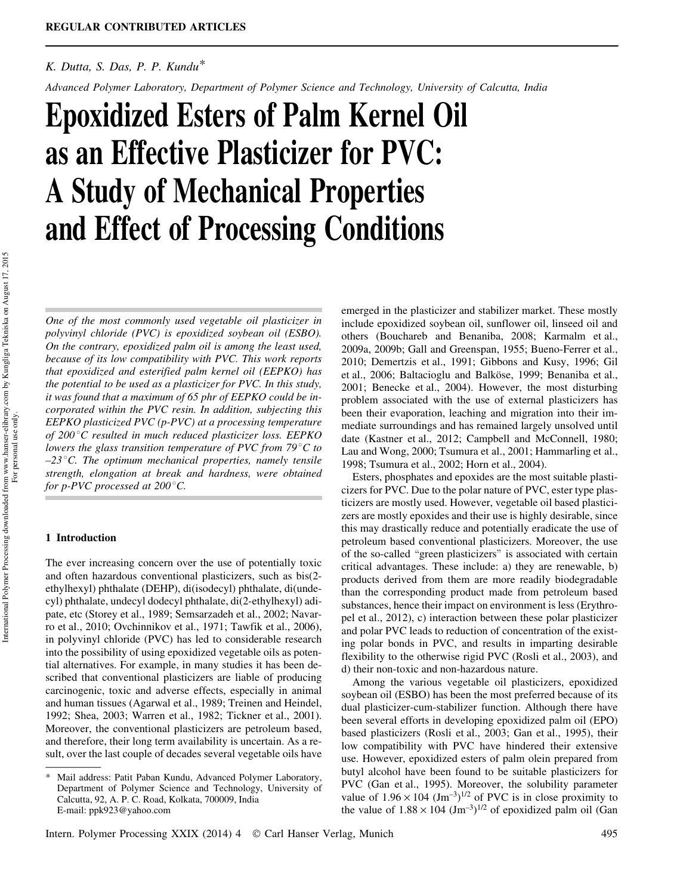# *K. Dutta, S. Das, P. P. Kundu\**

*Advanced Polymer Laboratory, Department of Polymer Science and Technology, University of Calcutta, India*

# Epoxidized Esters of Palm Kernel Oil as an Effective Plasticizer for PVC: A Study of Mechanical Properties and Effect of Processing Conditions

*One of the most commonly used vegetable oil plasticizer in polyvinyl chloride (PVC) is epoxidized soybean oil (ESBO). On the contrary, epoxidized palm oil is among the least used, because of its low compatibility with PVC. This work reports that epoxidized and esterified palm kernel oil (EEPKO) has the potential to be used as a plasticizer for PVC. In this study, it was found that a maximum of 65 phr of EEPKO could be incorporated within the PVC resin. In addition, subjecting this EEPKO plasticized PVC (p-PVC) at a processing temperature of 200* 8*C resulted in much reduced plasticizer loss. EEPKO lowers the glass transition temperature of PVC from 79<sup>°</sup>C to –23*8*C. The optimum mechanical properties, namely tensile strength, elongation at break and hardness, were obtained for p-PVC processed at 200°C.* 

### 1 Introduction

The ever increasing concern over the use of potentially toxic and often hazardous conventional plasticizers, such as bis(2 ethylhexyl) phthalate (DEHP), di(isodecyl) phthalate, di(undecyl) phthalate, undecyl dodecyl phthalate, di(2-ethylhexyl) adipate, etc (Storey et al., 1989; Semsarzadeh et al., 2002; Navarro et al., 2010; Ovchinnikov et al., 1971; Tawfik et al., 2006), in polyvinyl chloride (PVC) has led to considerable research into the possibility of using epoxidized vegetable oils as potential alternatives. For example, in many studies it has been described that conventional plasticizers are liable of producing carcinogenic, toxic and adverse effects, especially in animal and human tissues (Agarwal et al., 1989; Treinen and Heindel, 1992; Shea, 2003; Warren et al., 1982; Tickner et al., 2001). Moreover, the conventional plasticizers are petroleum based, and therefore, their long term availability is uncertain. As a result, over the last couple of decades several vegetable oils have emerged in the plasticizer and stabilizer market. These mostly include epoxidized soybean oil, sunflower oil, linseed oil and others (Bouchareb and Benaniba, 2008; Karmalm et al., 2009a, 2009b; Gall and Greenspan, 1955; Bueno-Ferrer et al., 2010; Demertzis et al., 1991; Gibbons and Kusy, 1996; Gil et al., 2006; Baltacioglu and Balköse, 1999; Benaniba et al., 2001; Benecke et al., 2004). However, the most disturbing problem associated with the use of external plasticizers has been their evaporation, leaching and migration into their immediate surroundings and has remained largely unsolved until date (Kastner et al., 2012; Campbell and McConnell, 1980; Lau and Wong, 2000; Tsumura et al., 2001; Hammarling et al., 1998; Tsumura et al., 2002; Horn et al., 2004).

Esters, phosphates and epoxides are the most suitable plasticizers for PVC. Due to the polar nature of PVC, ester type plasticizers are mostly used. However, vegetable oil based plasticizers are mostly epoxides and their use is highly desirable, since this may drastically reduce and potentially eradicate the use of petroleum based conventional plasticizers. Moreover, the use of the so-called "green plasticizers" is associated with certain critical advantages. These include: a) they are renewable, b) products derived from them are more readily biodegradable than the corresponding product made from petroleum based substances, hence their impact on environment is less (Erythropel et al., 2012), c) interaction between these polar plasticizer and polar PVC leads to reduction of concentration of the existing polar bonds in PVC, and results in imparting desirable flexibility to the otherwise rigid PVC (Rosli et al., 2003), and d) their non-toxic and non-hazardous nature.

Among the various vegetable oil plasticizers, epoxidized soybean oil (ESBO) has been the most preferred because of its dual plasticizer-cum-stabilizer function. Although there have been several efforts in developing epoxidized palm oil (EPO) based plasticizers (Rosli et al., 2003; Gan et al., 1995), their low compatibility with PVC have hindered their extensive use. However, epoxidized esters of palm olein prepared from butyl alcohol have been found to be suitable plasticizers for PVC (Gan et al., 1995). Moreover, the solubility parameter value of  $1.96 \times 104$  (Jm<sup>-3</sup>)<sup>1/2</sup> of PVC is in close proximity to the value of  $1.88 \times 104$  (Jm<sup>-3</sup>)<sup>1/2</sup> of epoxidized palm oil (Gan

<sup>\*</sup> Mail address: Patit Paban Kundu, Advanced Polymer Laboratory, Department of Polymer Science and Technology, University of Calcutta, 92, A. P. C. Road, Kolkata, 700009, India E-mail: ppk923@yahoo.com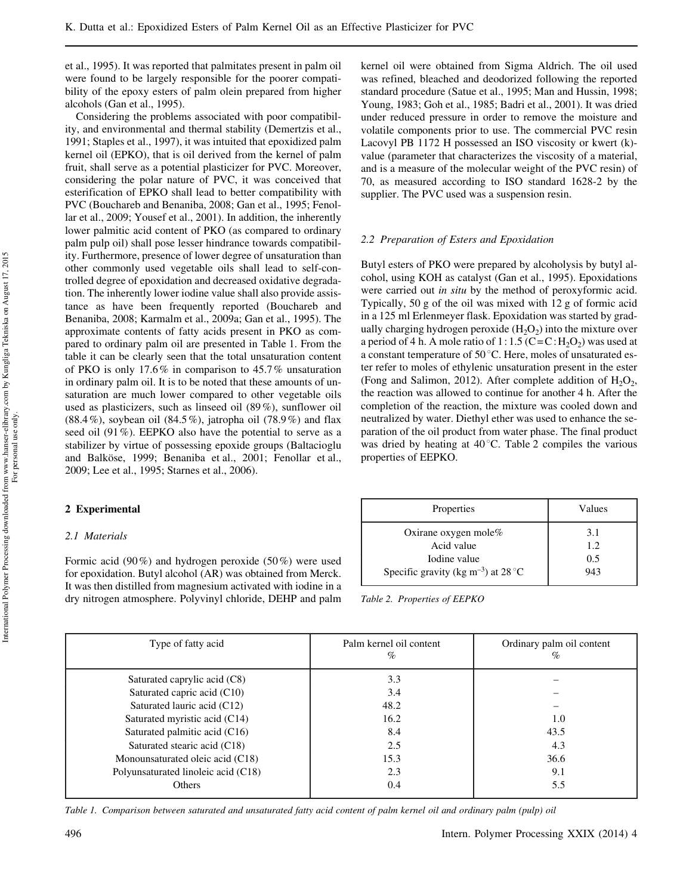et al., 1995). It was reported that palmitates present in palm oil were found to be largely responsible for the poorer compatibility of the epoxy esters of palm olein prepared from higher alcohols (Gan et al., 1995).

Considering the problems associated with poor compatibility, and environmental and thermal stability (Demertzis et al., 1991; Staples et al., 1997), it was intuited that epoxidized palm kernel oil (EPKO), that is oil derived from the kernel of palm fruit, shall serve as a potential plasticizer for PVC. Moreover, considering the polar nature of PVC, it was conceived that esterification of EPKO shall lead to better compatibility with PVC (Bouchareb and Benaniba, 2008; Gan et al., 1995; Fenollar et al., 2009; Yousef et al., 2001). In addition, the inherently lower palmitic acid content of PKO (as compared to ordinary palm pulp oil) shall pose lesser hindrance towards compatibility. Furthermore, presence of lower degree of unsaturation than other commonly used vegetable oils shall lead to self-controlled degree of epoxidation and decreased oxidative degradation. The inherently lower iodine value shall also provide assistance as have been frequently reported (Bouchareb and Benaniba, 2008; Karmalm et al., 2009a; Gan et al., 1995). The approximate contents of fatty acids present in PKO as compared to ordinary palm oil are presented in Table 1. From the table it can be clearly seen that the total unsaturation content of PKO is only 17.6% in comparison to 45.7% unsaturation in ordinary palm oil. It is to be noted that these amounts of unsaturation are much lower compared to other vegetable oils used as plasticizers, such as linseed oil (89%), sunflower oil (88.4%), soybean oil (84.5%), jatropha oil (78.9%) and flax seed oil (91%). EEPKO also have the potential to serve as a stabilizer by virtue of possessing epoxide groups (Baltacioglu and Balköse, 1999; Benaniba et al., 2001; Fenollar et al., 2009; Lee et al., 1995; Starnes et al., 2006).

# 2 Experimental

## *2.1 Materials*

Formic acid (90%) and hydrogen peroxide (50%) were used for epoxidation. Butyl alcohol (AR) was obtained from Merck. It was then distilled from magnesium activated with iodine in a dry nitrogen atmosphere. Polyvinyl chloride, DEHP and palm kernel oil were obtained from Sigma Aldrich. The oil used was refined, bleached and deodorized following the reported standard procedure (Satue et al., 1995; Man and Hussin, 1998; Young, 1983; Goh et al., 1985; Badri et al., 2001). It was dried under reduced pressure in order to remove the moisture and volatile components prior to use. The commercial PVC resin Lacovyl PB 1172 H possessed an ISO viscosity or kwert (k) value (parameter that characterizes the viscosity of a material, and is a measure of the molecular weight of the PVC resin) of 70, as measured according to ISO standard 1628-2 by the supplier. The PVC used was a suspension resin.

### *2.2 Preparation of Esters and Epoxidation*

Butyl esters of PKO were prepared by alcoholysis by butyl alcohol, using KOH as catalyst (Gan et al., 1995). Epoxidations were carried out *in situ* by the method of peroxyformic acid. Typically, 50 g of the oil was mixed with 12 g of formic acid in a 125 ml Erlenmeyer flask. Epoxidation was started by gradually charging hydrogen peroxide  $(H_2O_2)$  into the mixture over a period of 4 h. A mole ratio of  $1:1.5$  (C=C:  $H_2O_2$ ) was used at a constant temperature of  $50^{\circ}$ C. Here, moles of unsaturated ester refer to moles of ethylenic unsaturation present in the ester (Fong and Salimon, 2012). After complete addition of  $H_2O_2$ , the reaction was allowed to continue for another 4 h. After the completion of the reaction, the mixture was cooled down and neutralized by water. Diethyl ether was used to enhance the separation of the oil product from water phase. The final product was dried by heating at  $40^{\circ}$ C. Table 2 compiles the various properties of EEPKO.

| Properties                                      | Values |  |
|-------------------------------------------------|--------|--|
| Oxirane oxygen mole $%$                         | 3.1    |  |
| Acid value                                      | 1.2    |  |
| Iodine value                                    | 0.5    |  |
| Specific gravity (kg m <sup>-3</sup> ) at 28 °C | 943    |  |

*Table 2. Properties of EEPKO*

| Type of fatty acid                  | Palm kernel oil content<br>% | Ordinary palm oil content<br>$\%$ |
|-------------------------------------|------------------------------|-----------------------------------|
| Saturated caprylic acid (C8)        | 3.3                          |                                   |
| Saturated capric acid (C10)         | 3.4                          |                                   |
| Saturated lauric acid (C12)         | 48.2                         |                                   |
| Saturated myristic acid (C14)       | 16.2                         | 1.0                               |
| Saturated palmitic acid (C16)       | 8.4                          | 43.5                              |
| Saturated stearic acid (C18)        | 2.5                          | 4.3                               |
| Monounsaturated oleic acid (C18)    | 15.3                         | 36.6                              |
| Polyunsaturated linoleic acid (C18) | 2.3                          | 9.1                               |
| <b>Others</b>                       | 0.4                          | 5.5                               |

*Table 1. Comparison between saturated and unsaturated fatty acid content of palm kernel oil and ordinary palm (pulp) oil*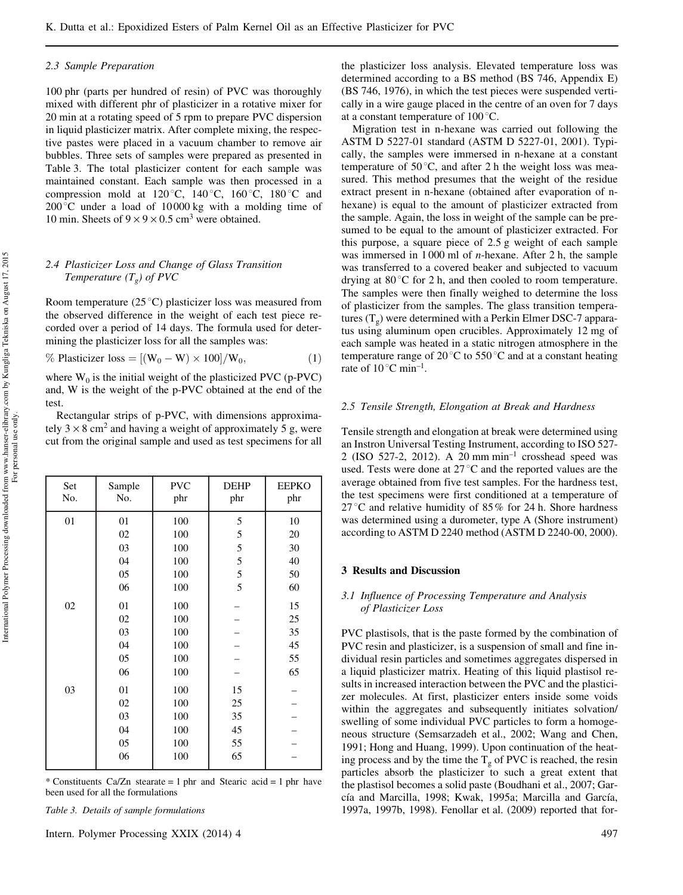#### *2.3 Sample Preparation*

100 phr (parts per hundred of resin) of PVC was thoroughly mixed with different phr of plasticizer in a rotative mixer for 20 min at a rotating speed of 5 rpm to prepare PVC dispersion in liquid plasticizer matrix. After complete mixing, the respective pastes were placed in a vacuum chamber to remove air bubbles. Three sets of samples were prepared as presented in Table 3. The total plasticizer content for each sample was maintained constant. Each sample was then processed in a compression mold at  $120^{\circ}$ C,  $140^{\circ}$ C,  $160^{\circ}$ C,  $180^{\circ}$ C and  $200^{\circ}$ C under a load of 10000 kg with a molding time of 10 min. Sheets of  $9 \times 9 \times 0.5$  cm<sup>3</sup> were obtained.

## *2.4 Plasticizer Loss and Change of Glass Transition Temperature (T<sup>g</sup> ) of PVC*

Room temperature  $(25^{\circ}C)$  plasticizer loss was measured from the observed difference in the weight of each test piece recorded over a period of 14 days. The formula used for determining the plasticizer loss for all the samples was:

% Plasticizer loss =  $[(W_0 - W) \times 100]/W_0$ , (1)

where  $W_0$  is the initial weight of the plasticized PVC (p-PVC) and, W is the weight of the p-PVC obtained at the end of the test.

Rectangular strips of p-PVC, with dimensions approximately  $3 \times 8$  cm<sup>2</sup> and having a weight of approximately 5 g, were cut from the original sample and used as test specimens for all

| Set<br>No. | Sample<br>No. | <b>PVC</b><br>phr | <b>DEHP</b><br>phr | <b>EEPKO</b><br>phr |
|------------|---------------|-------------------|--------------------|---------------------|
| 01         | 01            | 100               | 5                  | 10                  |
|            | 02            | 100               | 5                  | 20                  |
|            | 03            | 100               | 5                  | 30                  |
|            | 04            | 100               | 5                  | 40                  |
|            | 05            | 100               | 5                  | 50                  |
|            | 06            | 100               | 5                  | 60                  |
| 02         | 01            | 100               |                    | 15                  |
|            | 02            | 100               |                    | 25                  |
|            | 03            | 100               |                    | 35                  |
|            | 04            | 100               |                    | 45                  |
|            | 05            | 100               |                    | 55                  |
|            | 06            | 100               |                    | 65                  |
| 03         | 01            | 100               | 15                 |                     |
|            | 02            | 100               | 25                 |                     |
|            | 03            | 100               | 35                 |                     |
|            | 04            | 100               | 45                 |                     |
|            | 05            | 100               | 55                 |                     |
|            | 06            | 100               | 65                 |                     |

\* Constituents Ca/Zn stearate = 1 phr and Stearic acid = 1 phr have been used for all the formulations

*Table 3. Details of sample formulations*

Intern. Polymer Processing XXIX (2014) 4  $\qquad$  497

the plasticizer loss analysis. Elevated temperature loss was determined according to a BS method (BS 746, Appendix E) (BS 746, 1976), in which the test pieces were suspended vertically in a wire gauge placed in the centre of an oven for 7 days at a constant temperature of  $100^{\circ}$ C.

Migration test in n-hexane was carried out following the ASTM D 5227-01 standard (ASTM D 5227-01, 2001). Typically, the samples were immersed in n-hexane at a constant temperature of  $50^{\circ}$ C, and after 2 h the weight loss was measured. This method presumes that the weight of the residue extract present in n-hexane (obtained after evaporation of nhexane) is equal to the amount of plasticizer extracted from the sample. Again, the loss in weight of the sample can be presumed to be equal to the amount of plasticizer extracted. For this purpose, a square piece of 2.5 g weight of each sample was immersed in 1 000 ml of *n*-hexane. After 2 h, the sample was transferred to a covered beaker and subjected to vacuum drying at  $80^{\circ}$ C for 2 h, and then cooled to room temperature. The samples were then finally weighed to determine the loss of plasticizer from the samples. The glass transition temperatures  $(T_g)$  were determined with a Perkin Elmer DSC-7 apparatus using aluminum open crucibles. Approximately 12 mg of each sample was heated in a static nitrogen atmosphere in the temperature range of  $20^{\circ}$ C to  $550^{\circ}$ C and at a constant heating rate of  $10^{\circ}$ C min<sup>-1</sup>.

#### *2.5 Tensile Strength, Elongation at Break and Hardness*

Tensile strength and elongation at break were determined using an Instron Universal Testing Instrument, according to ISO 527- 2 (ISO 527-2, 2012). A 20 mm min–1 crosshead speed was used. Tests were done at  $27^{\circ}$ C and the reported values are the average obtained from five test samples. For the hardness test, the test specimens were first conditioned at a temperature of 27 °C and relative humidity of 85% for 24 h. Shore hardness was determined using a durometer, type A (Shore instrument) according to ASTM D 2240 method (ASTM D 2240-00, 2000).

### 3 Results and Discussion

#### *3.1 Influence of Processing Temperature and Analysis of Plasticizer Loss*

PVC plastisols, that is the paste formed by the combination of PVC resin and plasticizer, is a suspension of small and fine individual resin particles and sometimes aggregates dispersed in a liquid plasticizer matrix. Heating of this liquid plastisol results in increased interaction between the PVC and the plasticizer molecules. At first, plasticizer enters inside some voids within the aggregates and subsequently initiates solvation/ swelling of some individual PVC particles to form a homogeneous structure (Semsarzadeh et al., 2002; Wang and Chen, 1991; Hong and Huang, 1999). Upon continuation of the heating process and by the time the  $T_g$  of PVC is reached, the resin particles absorb the plasticizer to such a great extent that the plastisol becomes a solid paste (Boudhani et al., 2007; García and Marcilla, 1998; Kwak, 1995a; Marcilla and García, 1997a, 1997b, 1998). Fenollar et al. (2009) reported that for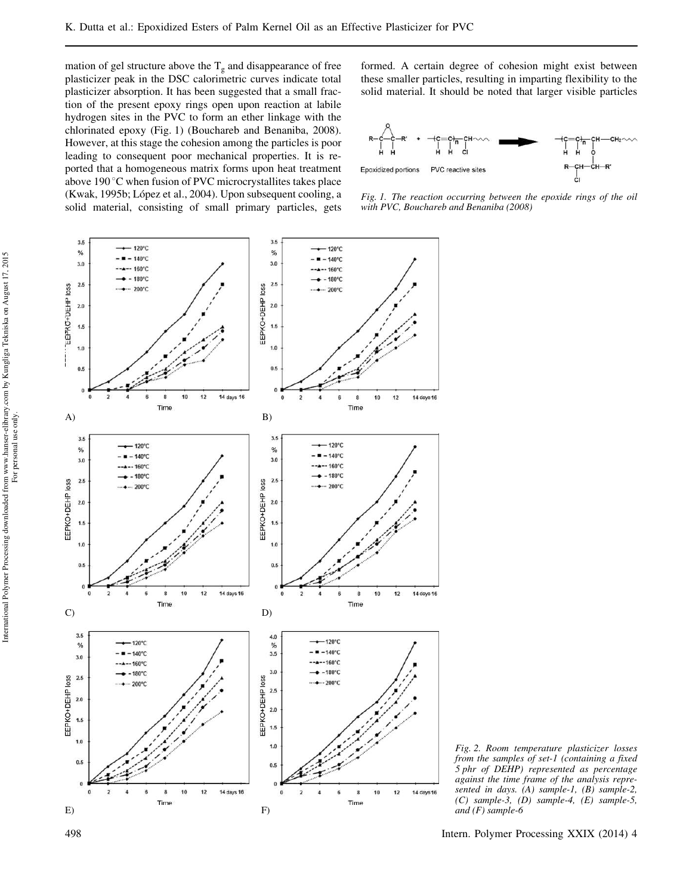mation of gel structure above the  $T_g$  and disappearance of free plasticizer peak in the DSC calorimetric curves indicate total plasticizer absorption. It has been suggested that a small fraction of the present epoxy rings open upon reaction at labile hydrogen sites in the PVC to form an ether linkage with the chlorinated epoxy (Fig. 1) (Bouchareb and Benaniba, 2008). However, at this stage the cohesion among the particles is poor leading to consequent poor mechanical properties. It is reported that a homogeneous matrix forms upon heat treatment above 190 $\degree$ C when fusion of PVC microcrystallites takes place (Kwak, 1995b; López et al., 2004). Upon subsequent cooling, a solid material, consisting of small primary particles, gets formed. A certain degree of cohesion might exist between these smaller particles, resulting in imparting flexibility to the solid material. It should be noted that larger visible particles



*Fig. 1. The reaction occurring between the epoxide rings of the oil with PVC, Bouchareb and Benaniba (2008)*



*Fig. 2. Room temperature plasticizer losses from the samples of set-1 (containing a fixed 5 phr of DEHP) represented as percentage against the time frame of the analysis represented in days. (A) sample-1, (B) sample-2, (C) sample-3, (D) sample-4, (E) sample-5, and (F) sample-6*

498 Intern. Polymer Processing XXIX (2014) 4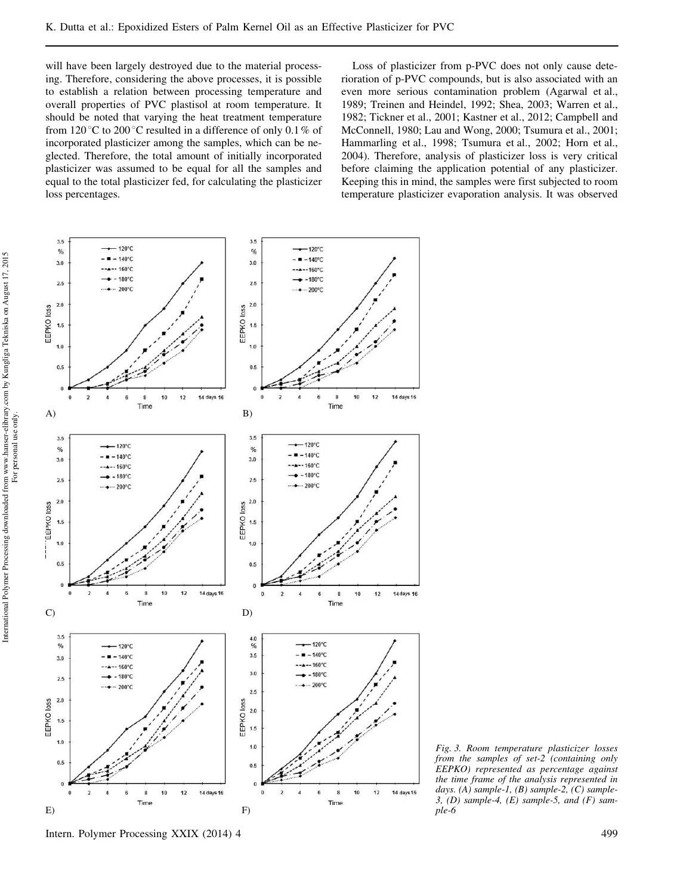will have been largely destroyed due to the material processing. Therefore, considering the above processes, it is possible to establish a relation between processing temperature and overall properties of PVC plastisol at room temperature. It should be noted that varying the heat treatment temperature from 120 $\degree$ C to 200 $\degree$ C resulted in a difference of only 0.1% of incorporated plasticizer among the samples, which can be neglected. Therefore, the total amount of initially incorporated plasticizer was assumed to be equal for all the samples and equal to the total plasticizer fed, for calculating the plasticizer loss percentages.

Loss of plasticizer from p-PVC does not only cause deterioration of p-PVC compounds, but is also associated with an even more serious contamination problem (Agarwal et al., 1989; Treinen and Heindel, 1992; Shea, 2003; Warren et al., 1982; Tickner et al., 2001; Kastner et al., 2012; Campbell and McConnell, 1980; Lau and Wong, 2000; Tsumura et al., 2001; Hammarling et al., 1998; Tsumura et al., 2002; Horn et al., 2004). Therefore, analysis of plasticizer loss is very critical before claiming the application potential of any plasticizer. Keeping this in mind, the samples were first subjected to room temperature plasticizer evaporation analysis. It was observed



*Fig. 3. Room temperature plasticizer losses from the samples of set-2 (containing only EEPKO) represented as percentage against the time frame of the analysis represented in days. (A) sample-1, (B) sample-2, (C) sample-3, (D) sample-4, (E) sample-5, and (F) sample-6*

Intern. Polymer Processing XXIX (2014) 4 499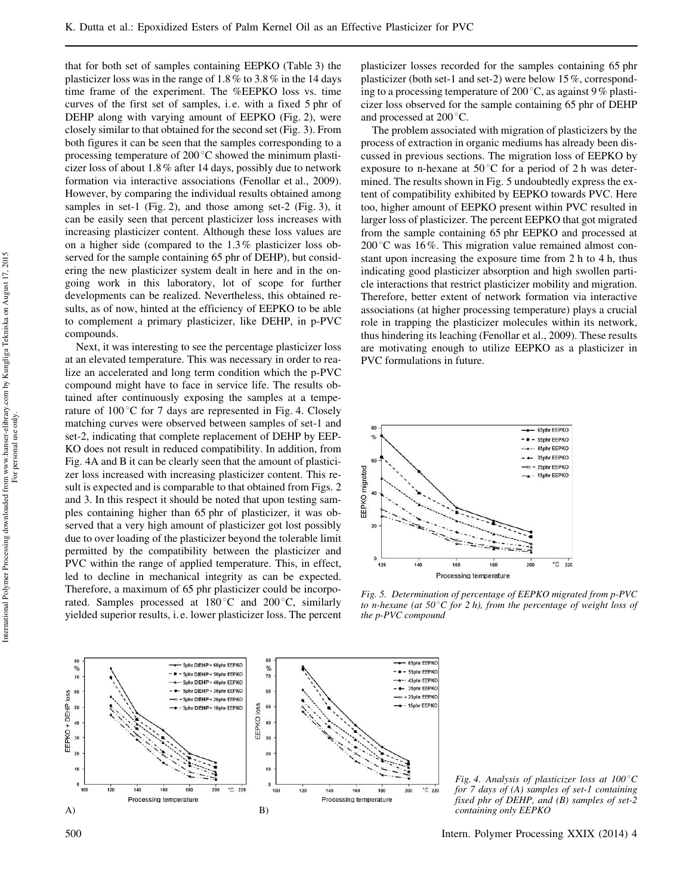that for both set of samples containing EEPKO (Table 3) the plasticizer loss was in the range of 1.8% to 3.8% in the 14 days time frame of the experiment. The %EEPKO loss vs. time curves of the first set of samples, i.e. with a fixed 5 phr of DEHP along with varying amount of EEPKO (Fig. 2), were closely similar to that obtained for the second set (Fig. 3). From both figures it can be seen that the samples corresponding to a processing temperature of  $200^{\circ}$ C showed the minimum plasticizer loss of about 1.8% after 14 days, possibly due to network formation via interactive associations (Fenollar et al., 2009). However, by comparing the individual results obtained among samples in set-1 (Fig. 2), and those among set-2 (Fig. 3), it can be easily seen that percent plasticizer loss increases with increasing plasticizer content. Although these loss values are on a higher side (compared to the 1.3% plasticizer loss observed for the sample containing 65 phr of DEHP), but considering the new plasticizer system dealt in here and in the ongoing work in this laboratory, lot of scope for further developments can be realized. Nevertheless, this obtained results, as of now, hinted at the efficiency of EEPKO to be able to complement a primary plasticizer, like DEHP, in p-PVC compounds.

Next, it was interesting to see the percentage plasticizer loss at an elevated temperature. This was necessary in order to realize an accelerated and long term condition which the p-PVC compound might have to face in service life. The results obtained after continuously exposing the samples at a temperature of  $100^{\circ}$ C for 7 days are represented in Fig. 4. Closely matching curves were observed between samples of set-1 and set-2, indicating that complete replacement of DEHP by EEP-KO does not result in reduced compatibility. In addition, from Fig. 4A and B it can be clearly seen that the amount of plasticizer loss increased with increasing plasticizer content. This result is expected and is comparable to that obtained from Figs. 2 and 3. In this respect it should be noted that upon testing samples containing higher than 65 phr of plasticizer, it was observed that a very high amount of plasticizer got lost possibly due to over loading of the plasticizer beyond the tolerable limit permitted by the compatibility between the plasticizer and PVC within the range of applied temperature. This, in effect, led to decline in mechanical integrity as can be expected. Therefore, a maximum of 65 phr plasticizer could be incorporated. Samples processed at  $180^{\circ}$ C and  $200^{\circ}$ C, similarly yielded superior results, i. e. lower plasticizer loss. The percent plasticizer losses recorded for the samples containing 65 phr plasticizer (both set-1 and set-2) were below 15%, corresponding to a processing temperature of 200 $^{\circ}$ C, as against 9% plasticizer loss observed for the sample containing 65 phr of DEHP and processed at  $200^{\circ}$ C.

The problem associated with migration of plasticizers by the process of extraction in organic mediums has already been discussed in previous sections. The migration loss of EEPKO by exposure to n-hexane at  $50^{\circ}$ C for a period of 2 h was determined. The results shown in Fig. 5 undoubtedly express the extent of compatibility exhibited by EEPKO towards PVC. Here too, higher amount of EEPKO present within PVC resulted in larger loss of plasticizer. The percent EEPKO that got migrated from the sample containing 65 phr EEPKO and processed at  $200^{\circ}$ C was 16%. This migration value remained almost constant upon increasing the exposure time from 2 h to 4 h, thus indicating good plasticizer absorption and high swollen particle interactions that restrict plasticizer mobility and migration. Therefore, better extent of network formation via interactive associations (at higher processing temperature) plays a crucial role in trapping the plasticizer molecules within its network, thus hindering its leaching (Fenollar et al., 2009). These results are motivating enough to utilize EEPKO as a plasticizer in PVC formulations in future.



*Fig. 5. Determination of percentage of EEPKO migrated from p-PVC to n-hexane (at 50°C for 2 h), from the percentage of weight loss of the p-PVC compound*



*Fig. 4. Analysis of plasticizer loss at 100°C for 7 days of (A) samples of set-1 containing fixed phr of DEHP, and (B) samples of set-2 containing only EEPKO*

500 Intern. Polymer Processing XXIX (2014) 4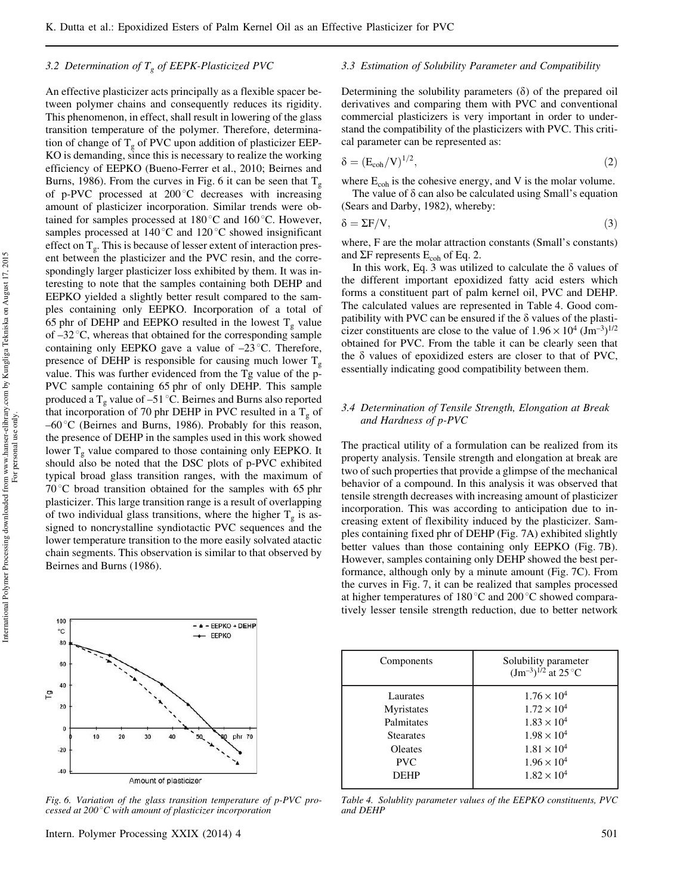### *3.2 Determination of T<sup>g</sup> of EEPK-Plasticized PVC*

An effective plasticizer acts principally as a flexible spacer between polymer chains and consequently reduces its rigidity. This phenomenon, in effect, shall result in lowering of the glass transition temperature of the polymer. Therefore, determination of change of  $T_g$  of PVC upon addition of plasticizer EEP-KO is demanding, since this is necessary to realize the working efficiency of EEPKO (Bueno-Ferrer et al., 2010; Beirnes and Burns, 1986). From the curves in Fig. 6 it can be seen that  $T_g$ of p-PVC processed at  $200^{\circ}$ C decreases with increasing amount of plasticizer incorporation. Similar trends were obtained for samples processed at  $180^{\circ}$ C and  $160^{\circ}$ C. However, samples processed at  $140^{\circ}$ C and  $120^{\circ}$ C showed insignificant effect on  $T_g$ . This is because of lesser extent of interaction present between the plasticizer and the PVC resin, and the correspondingly larger plasticizer loss exhibited by them. It was interesting to note that the samples containing both DEHP and EEPKO yielded a slightly better result compared to the samples containing only EEPKO. Incorporation of a total of 65 phr of DEHP and EEPKO resulted in the lowest  $T_{g}$  value of  $-32^{\circ}$ C, whereas that obtained for the corresponding sample containing only EEPKO gave a value of  $-23$  °C. Therefore, presence of DEHP is responsible for causing much lower  $T_g$ value. This was further evidenced from the Tg value of the p-PVC sample containing 65 phr of only DEHP. This sample produced a T<sub>g</sub> value of –51 °C. Beirnes and Burns also reported that incorporation of 70 phr DEHP in PVC resulted in a  $T_g$  of  $-60^{\circ}$ C (Beirnes and Burns, 1986). Probably for this reason, the presence of DEHP in the samples used in this work showed lower  $T_g$  value compared to those containing only EEPKO. It should also be noted that the DSC plots of p-PVC exhibited typical broad glass transition ranges, with the maximum of  $70^{\circ}$ C broad transition obtained for the samples with 65 phr plasticizer. This large transition range is a result of overlapping of two individual glass transitions, where the higher  $T_g$  is assigned to noncrystalline syndiotactic PVC sequences and the lower temperature transition to the more easily solvated atactic chain segments. This observation is similar to that observed by Beirnes and Burns (1986).



*Fig. 6. Variation of the glass transition temperature of p-PVC processed at 200*8*C with amount of plasticizer incorporation*

#### *3.3 Estimation of Solubility Parameter and Compatibility*

Determining the solubility parameters  $(\delta)$  of the prepared oil derivatives and comparing them with PVC and conventional commercial plasticizers is very important in order to understand the compatibility of the plasticizers with PVC. This critical parameter can be represented as:

$$
\delta = \left( \mathcal{E}_{\text{coh}} / \mathcal{V} \right)^{1/2},\tag{2}
$$

where  $E_{coh}$  is the cohesive energy, and V is the molar volume.

The value of  $\delta$  can also be calculated using Small's equation (Sears and Darby, 1982), whereby:

$$
\delta = \Sigma F/V,\tag{3}
$$

where, F are the molar attraction constants (Small's constants) and  $\Sigma$ F represents  $E_{coh}$  of Eq. 2.

In this work, Eq. 3 was utilized to calculate the  $\delta$  values of the different important epoxidized fatty acid esters which forms a constituent part of palm kernel oil, PVC and DEHP. The calculated values are represented in Table 4. Good compatibility with PVC can be ensured if the  $\delta$  values of the plasticizer constituents are close to the value of  $1.96 \times 10^4$   $(\text{Jm}^{-3})^{1/2}$ obtained for PVC. From the table it can be clearly seen that the  $\delta$  values of epoxidized esters are closer to that of PVC, essentially indicating good compatibility between them.

### *3.4 Determination of Tensile Strength, Elongation at Break and Hardness of p-PVC*

The practical utility of a formulation can be realized from its property analysis. Tensile strength and elongation at break are two of such properties that provide a glimpse of the mechanical behavior of a compound. In this analysis it was observed that tensile strength decreases with increasing amount of plasticizer incorporation. This was according to anticipation due to increasing extent of flexibility induced by the plasticizer. Samples containing fixed phr of DEHP (Fig. 7A) exhibited slightly better values than those containing only EEPKO (Fig. 7B). However, samples containing only DEHP showed the best performance, although only by a minute amount (Fig. 7C). From the curves in Fig. 7, it can be realized that samples processed at higher temperatures of 180 $^{\circ}$ C and 200 $^{\circ}$ C showed comparatively lesser tensile strength reduction, due to better network

| Components       | Solubility parameter<br>$(Jm^{-3})^{1/2}$ at 25 °C |
|------------------|----------------------------------------------------|
| Laurates         | $1.76 \times 10^{4}$                               |
| Myristates       | $1.72 \times 10^{4}$                               |
| Palmitates       | $1.83 \times 10^{4}$                               |
| <b>Stearates</b> | $1.98 \times 10^{4}$                               |
| <b>Oleates</b>   | $1.81 \times 10^{4}$                               |
| <b>PVC</b>       | $1.96 \times 10^{4}$                               |
| <b>DEHP</b>      | $1.82 \times 10^{4}$                               |

*Table 4. Solublity parameter values of the EEPKO constituents, PVC and DEHP*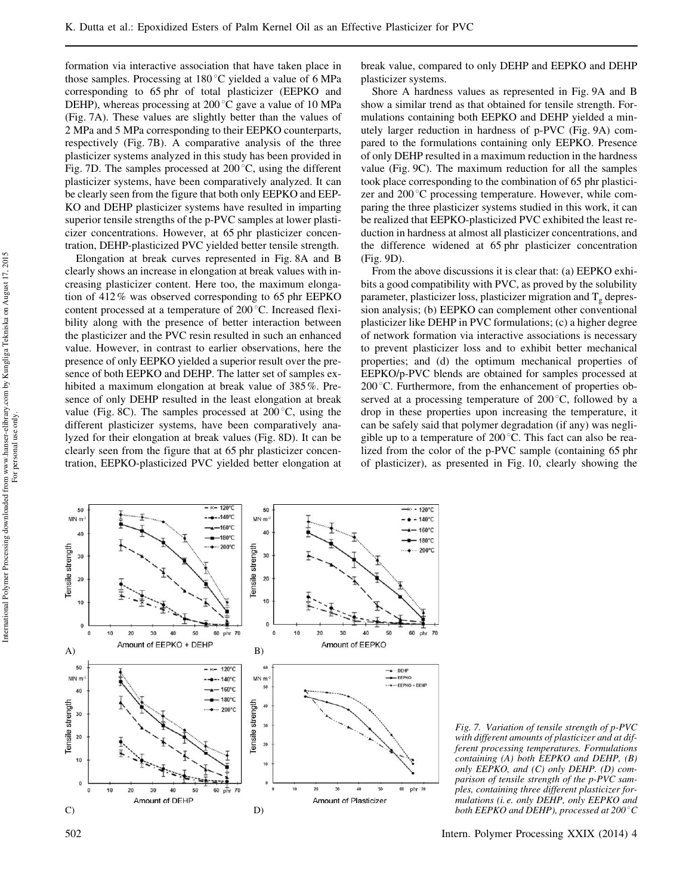formation via interactive association that have taken place in those samples. Processing at  $180^{\circ}$ C yielded a value of 6 MPa corresponding to 65 phr of total plasticizer (EEPKO and DEHP), whereas processing at  $200\degree$ C gave a value of 10 MPa (Fig. 7A). These values are slightly better than the values of 2 MPa and 5 MPa corresponding to their EEPKO counterparts, respectively (Fig. 7B). A comparative analysis of the three plasticizer systems analyzed in this study has been provided in Fig. 7D. The samples processed at  $200^{\circ}$ C, using the different plasticizer systems, have been comparatively analyzed. It can be clearly seen from the figure that both only EEPKO and EEP-KO and DEHP plasticizer systems have resulted in imparting superior tensile strengths of the p-PVC samples at lower plasticizer concentrations. However, at 65 phr plasticizer concentration, DEHP-plasticized PVC yielded better tensile strength.

Elongation at break curves represented in Fig. 8A and B clearly shows an increase in elongation at break values with increasing plasticizer content. Here too, the maximum elongation of 412% was observed corresponding to 65 phr EEPKO content processed at a temperature of  $200^{\circ}$ C. Increased flexibility along with the presence of better interaction between the plasticizer and the PVC resin resulted in such an enhanced value. However, in contrast to earlier observations, here the presence of only EEPKO yielded a superior result over the presence of both EEPKO and DEHP. The latter set of samples exhibited a maximum elongation at break value of 385%. Presence of only DEHP resulted in the least elongation at break value (Fig. 8C). The samples processed at  $200^{\circ}$ C, using the different plasticizer systems, have been comparatively analyzed for their elongation at break values (Fig. 8D). It can be clearly seen from the figure that at 65 phr plasticizer concentration, EEPKO-plasticized PVC yielded better elongation at break value, compared to only DEHP and EEPKO and DEHP plasticizer systems.

Shore A hardness values as represented in Fig. 9A and B show a similar trend as that obtained for tensile strength. Formulations containing both EEPKO and DEHP yielded a minutely larger reduction in hardness of p-PVC (Fig. 9A) compared to the formulations containing only EEPKO. Presence of only DEHP resulted in a maximum reduction in the hardness value (Fig. 9C). The maximum reduction for all the samples took place corresponding to the combination of 65 phr plasticizer and  $200^{\circ}$ C processing temperature. However, while comparing the three plasticizer systems studied in this work, it can be realized that EEPKO-plasticized PVC exhibited the least reduction in hardness at almost all plasticizer concentrations, and the difference widened at 65 phr plasticizer concentration (Fig. 9D).

From the above discussions it is clear that: (a) EEPKO exhibits a good compatibility with PVC, as proved by the solubility parameter, plasticizer loss, plasticizer migration and  $T_{\sigma}$  depression analysis; (b) EEPKO can complement other conventional plasticizer like DEHP in PVC formulations; (c) a higher degree of network formation via interactive associations is necessary to prevent plasticizer loss and to exhibit better mechanical properties; and (d) the optimum mechanical properties of EEPKO/p-PVC blends are obtained for samples processed at  $200^{\circ}$ C. Furthermore, from the enhancement of properties observed at a processing temperature of  $200^{\circ}$ C, followed by a drop in these properties upon increasing the temperature, it can be safely said that polymer degradation (if any) was negligible up to a temperature of  $200\degree$ C. This fact can also be realized from the color of the p-PVC sample (containing 65 phr of plasticizer), as presented in Fig. 10, clearly showing the



*Fig. 7. Variation of tensile strength of p-PVC with different amounts of plasticizer and at different processing temperatures. Formulations containing (A) both EEPKO and DEHP, (B) only EEPKO, and (C) only DEHP. (D) comparison of tensile strength of the p-PVC samples, containing three different plasticizer formulations (i. e. only DEHP, only EEPKO and both EEPKO and DEHP), processed at 200* °C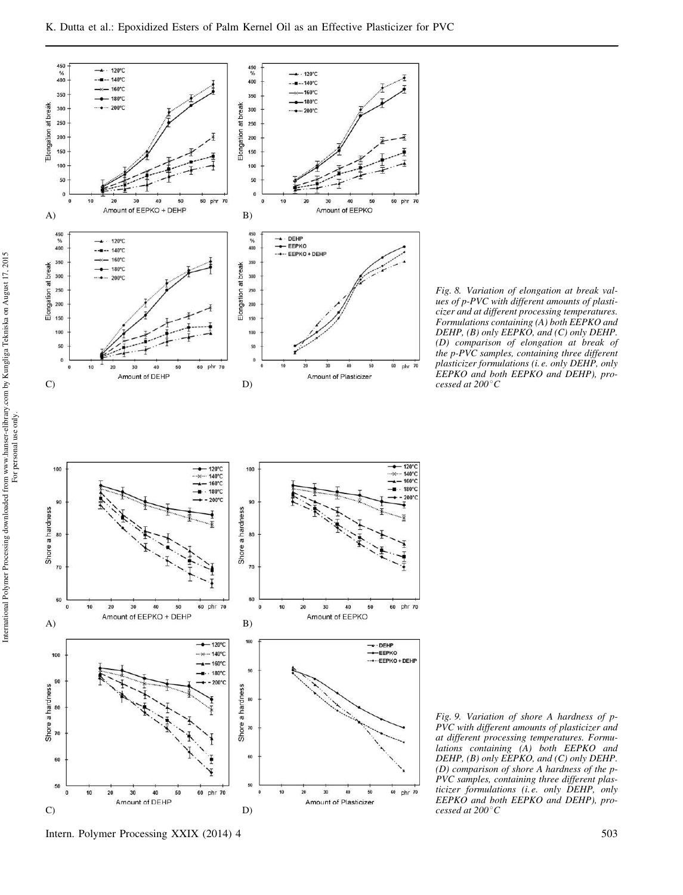

*Fig. 8. Variation of elongation at break values of p-PVC with different amounts of plasticizer and at different processing temperatures. Formulations containing (A) both EEPKO and DEHP, (B) only EEPKO, and (C) only DEHP. (D) comparison of elongation at break of the p-PVC samples, containing three different plasticizer formulations (i. e. only DEHP, only EEPKO and both EEPKO and DEHP), processed at 200*8*C*

*Fig. 9. Variation of shore A hardness of p-PVC with different amounts of plasticizer and at different processing temperatures. Formulations containing (A) both EEPKO and DEHP, (B) only EEPKO, and (C) only DEHP. (D) comparison of shore A hardness of the p-PVC samples, containing three different plasticizer formulations (i. e. only DEHP, only EEPKO and both EEPKO and DEHP), processed at 200*8*C*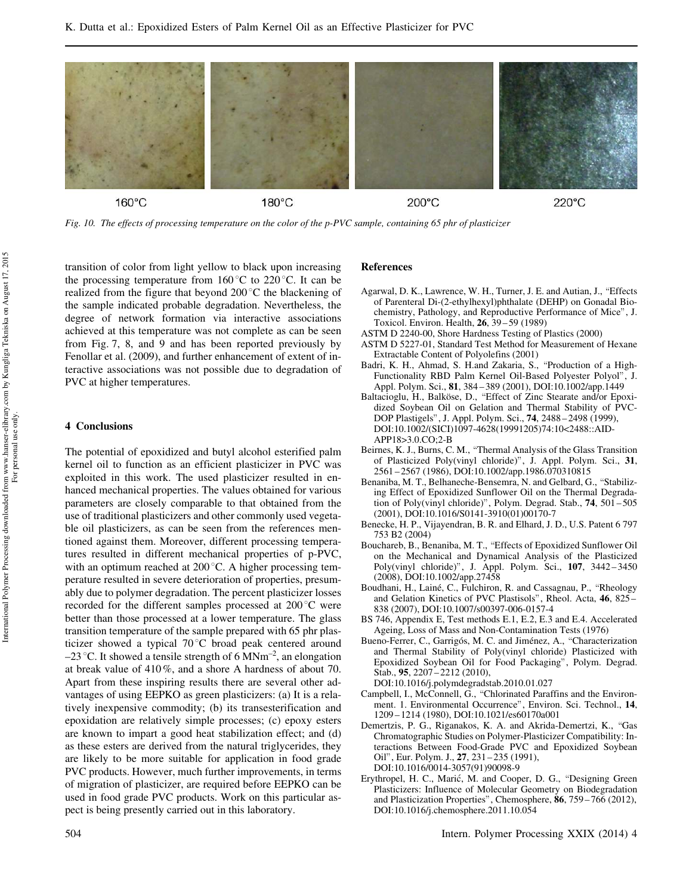

*Fig. 10. The effects of processing temperature on the color of the p-PVC sample, containing 65 phr of plasticizer*

transition of color from light yellow to black upon increasing the processing temperature from  $160^{\circ}$ C to  $220^{\circ}$ C. It can be realized from the figure that beyond  $200^{\circ}$ C the blackening of the sample indicated probable degradation. Nevertheless, the degree of network formation via interactive associations achieved at this temperature was not complete as can be seen from Fig. 7, 8, and 9 and has been reported previously by Fenollar et al. (2009), and further enhancement of extent of interactive associations was not possible due to degradation of PVC at higher temperatures.

#### 4 Conclusions

The potential of epoxidized and butyl alcohol esterified palm kernel oil to function as an efficient plasticizer in PVC was exploited in this work. The used plasticizer resulted in enhanced mechanical properties. The values obtained for various parameters are closely comparable to that obtained from the use of traditional plasticizers and other commonly used vegetable oil plasticizers, as can be seen from the references mentioned against them. Moreover, different processing temperatures resulted in different mechanical properties of p-PVC, with an optimum reached at  $200^{\circ}$ C. A higher processing temperature resulted in severe deterioration of properties, presumably due to polymer degradation. The percent plasticizer losses recorded for the different samples processed at  $200^{\circ}$ C were better than those processed at a lower temperature. The glass transition temperature of the sample prepared with 65 phr plasticizer showed a typical  $70^{\circ}$ C broad peak centered around  $-23$  °C. It showed a tensile strength of 6 MNm<sup>-2</sup>, an elongation at break value of 410%, and a shore A hardness of about 70. Apart from these inspiring results there are several other advantages of using EEPKO as green plasticizers: (a) It is a relatively inexpensive commodity; (b) its transesterification and epoxidation are relatively simple processes; (c) epoxy esters are known to impart a good heat stabilization effect; and (d) as these esters are derived from the natural triglycerides, they are likely to be more suitable for application in food grade PVC products. However, much further improvements, in terms of migration of plasticizer, are required before EEPKO can be used in food grade PVC products. Work on this particular aspect is being presently carried out in this laboratory.

#### References

- Agarwal, D. K., Lawrence, W. H., Turner, J. E. and Autian, J., "Effects of Parenteral Di-(2-ethylhexyl)phthalate (DEHP) on Gonadal Biochemistry, Pathology, and Reproductive Performance of Mice", J. Toxicol. Environ. Health, 26, 39 – 59 (1989)
- ASTM D 2240-00, Shore Hardness Testing of Plastics (2000)
- ASTM D 5227-01, Standard Test Method for Measurement of Hexane Extractable Content of Polyolefins (2001)
- Badri, K. H., Ahmad, S. H.and Zakaria, S., \Production of a High-Functionality RBD Palm Kernel Oil-Based Polyester Polyol", J. Appl. Polym. Sci., 81, 384 – 389 (2001), DOI:10.1002/app.1449
- Baltacioglu, H., Balköse, D., "Effect of Zinc Stearate and/or Epoxidized Soybean Oil on Gelation and Thermal Stability of PVC-DOP Plastigels", J. Appl. Polym. Sci., 74, 2488 – 2498 (1999), DOI:10.1002/(SICI)1097-4628(19991205)74:10<2488::AID-APP18>3.0.CO;2-B
- Beirnes, K. J., Burns, C. M., \Thermal Analysis of the Glass Transition of Plasticized Poly(vinyl chloride)", J. Appl. Polym. Sci., 31, 2561 – 2567 (1986), DOI:10.1002/app.1986.070310815
- Benaniba, M. T., Belhaneche-Bensemra, N. and Gelbard, G., "Stabilizing Effect of Epoxidized Sunflower Oil on the Thermal Degradation of Poly(vinyl chloride)", Polym. Degrad. Stab., 74, 501 – 505 (2001), DOI:10.1016/S0141-3910(01)00170-7
- Benecke, H. P., Vijayendran, B. R. and Elhard, J. D., U.S. Patent 6 797 753 B2 (2004)
- Bouchareb, B., Benaniba, M. T., \Effects of Epoxidized Sunflower Oil on the Mechanical and Dynamical Analysis of the Plasticized Poly(vinyl chloride)", J. Appl. Polym. Sci., 107, 3442 – 3450 (2008), DOI:10.1002/app.27458
- Boudhani, H., Lainé, C., Fulchiron, R. and Cassagnau, P., "Rheology and Gelation Kinetics of PVC Plastisols", Rheol. Acta, 46, 825 – 838 (2007), DOI:10.1007/s00397-006-0157-4
- BS 746, Appendix E, Test methods E.1, E.2, E.3 and E.4. Accelerated Ageing, Loss of Mass and Non-Contamination Tests (1976)
- Bueno-Ferrer, C., Garrigós, M. C. and Jiménez, A., "Characterization and Thermal Stability of Poly(vinyl chloride) Plasticized with Epoxidized Soybean Oil for Food Packaging", Polym. Degrad. Stab., 95, 2207-2212 (2010),
	- DOI:10.1016/j.polymdegradstab.2010.01.027
- Campbell, I., McConnell, G., "Chlorinated Paraffins and the Environment. 1. Environmental Occurrence", Environ. Sci. Technol., 14, 1209 – 1214 (1980), DOI:10.1021/es60170a001
- Demertzis, P. G., Riganakos, K. A. and Akrida-Demertzi, K., "Gas Chromatographic Studies on Polymer-Plasticizer Compatibility: Interactions Between Food-Grade PVC and Epoxidized Soybean Oil", Eur. Polym. J., 27, 231 – 235 (1991), DOI:10.1016/0014-3057(91)90098-9
- Erythropel, H. C., Marić, M. and Cooper, D. G., "Designing Green Plasticizers: Influence of Molecular Geometry on Biodegradation and Plasticization Properties", Chemosphere, 86, 759 – 766 (2012), DOI:10.1016/j.chemosphere.2011.10.054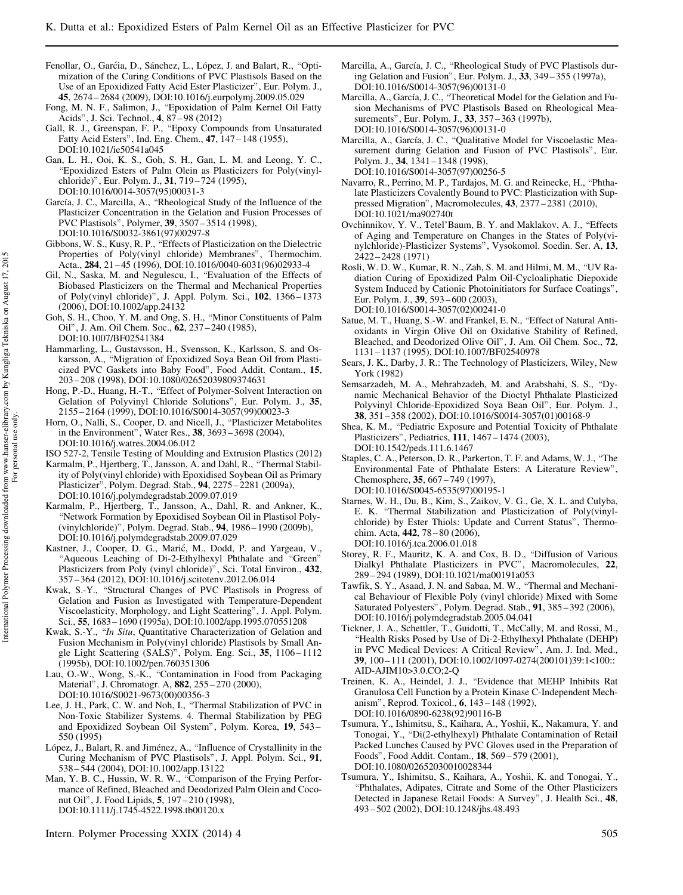- Fenollar, O., Garćia, D., Sánchez, L., López, J. and Balart, R., "Optimization of the Curing Conditions of PVC Plastisols Based on the Use of an Epoxidized Fatty Acid Ester Plasticizer", Eur. Polym. J., 45, 2674 – 2684 (2009), DOI:10.1016/j.eurpolymj.2009.05.029
- Fong, M. N. F., Salimon, J., \Epoxidation of Palm Kernel Oil Fatty Acids", J. Sci. Technol., 4, 87 – 98 (2012)
- Gall, R. J., Greenspan, F. P., \Epoxy Compounds from Unsaturated Fatty Acid Esters", Ind. Eng. Chem., 47, 147 – 148 (1955), DOI:10.1021/ie50541a045
- Gan, L. H., Ooi, K. S., Goh, S. H., Gan, L. M. and Leong, Y. C., \Epoxidized Esters of Palm Olein as Plasticizers for Poly(vinylchloride)", Eur. Polym. J., 31, 719 – 724 (1995), DOI:10.1016/0014-3057(95)00031-3
- García, J. C., Marcilla, A., "Rheological Study of the Influence of the Plasticizer Concentration in the Gelation and Fusion Processes of PVC Plastisols", Polymer, 39, 3507 – 3514 (1998), DOI:10.1016/S0032-3861(97)00297-8
- Gibbons, W. S., Kusy, R. P., \Effects of Plasticization on the Dielectric Properties of Poly(vinyl chloride) Membranes", Thermochim. Acta., 284, 21 – 45 (1996), DOI:10.1016/0040-6031(96)02933-4
- Gil, N., Saska, M. and Negulescu, I., "Evaluation of the Effects of Biobased Plasticizers on the Thermal and Mechanical Properties of Poly(vinyl chloride)", J. Appl. Polym. Sci., 102, 1366 – 1373 (2006), DOI:10.1002/app.24132
- Goh, S. H., Choo, Y. M. and Ong, S. H., "Minor Constituents of Palm Oil", J. Am. Oil Chem. Soc., 62, 237 – 240 (1985), DOI:10.1007/BF02541384
- Hammarling, L., Gustavsson, H., Svensson, K., Karlsson, S. and Oskarsson, A., "Migration of Epoxidized Soya Bean Oil from Plasticized PVC Gaskets into Baby Food", Food Addit. Contam., 15, 203 – 208 (1998), DOI:10.1080/02652039809374631
- Hong, P.-D., Huang, H.-T., "Effect of Polymer-Solvent Interaction on Gelation of Polyvinyl Chloride Solutions", Eur. Polym. J., 35, 2155 – 2164 (1999), DOI:10.1016/S0014-3057(99)00023-3
- Horn, O., Nalli, S., Cooper, D. and Nicell, J., "Plasticizer Metabolites in the Environment", Water Res., 38, 3693 – 3698 (2004), DOI:10.1016/j.watres.2004.06.012
- ISO 527-2, Tensile Testing of Moulding and Extrusion Plastics (2012)
- Karmalm, P., Hjertberg, T., Jansson, A. and Dahl, R., "Thermal Stability of Poly(vinyl chloride) with Epoxidised Soybean Oil as Primary Plasticizer", Polym. Degrad. Stab., 94, 2275 – 2281 (2009a), DOI:10.1016/j.polymdegradstab.2009.07.019
- Karmalm, P., Hjertberg, T., Jansson, A., Dahl, R. and Ankner, K., "Network Formation by Epoxidised Soybean Oil in Plastisol Poly-(vinylchloride)", Polym. Degrad. Stab., 94, 1986 – 1990 (2009b), DOI:10.1016/j.polymdegradstab.2009.07.029
- Kastner, J., Cooper, D. G., Marić, M., Dodd, P. and Yargeau, V., "Aqueous Leaching of Di-2-Ethylhexyl Phthalate and "Green" Plasticizers from Poly (vinyl chloride)", Sci. Total Environ., 432, 357 – 364 (2012), DOI:10.1016/j.scitotenv.2012.06.014
- Kwak, S.-Y., "Structural Changes of PVC Plastisols in Progress of Gelation and Fusion as Investigated with Temperature-Dependent Viscoelasticity, Morphology, and Light Scattering", J. Appl. Polym. Sci., 55, 1683 – 1690 (1995a), DOI:10.1002/app.1995.070551208
- Kwak, S.-Y., "In Situ, Quantitative Characterization of Gelation and Fusion Mechanism in Poly(vinyl chloride) Plastisols by Small Angle Light Scattering (SALS)", Polym. Eng. Sci., 35, 1106-1112 (1995b), DOI:10.1002/pen.760351306
- Lau, O.-W., Wong, S.-K., "Contamination in Food from Packaging Material", J. Chromatogr. A, 882, 255 - 270 (2000), DOI:10.1016/S0021-9673(00)00356-3
- Lee, J. H., Park, C. W. and Noh, I., \Thermal Stabilization of PVC in Non-Toxic Stabilizer Systems. 4. Thermal Stabilization by PEG and Epoxidized Soybean Oil System", Polym. Korea, 19, 543 – 550 (1995)
- López, J., Balart, R. and Jiménez, A., "Influence of Crystallinity in the Curing Mechanism of PVC Plastisols", J. Appl. Polym. Sci., 91, 538 – 544 (2004), DOI:10.1002/app.13122
- Man, Y. B. C., Hussin, W. R. W., "Comparison of the Frying Performance of Refined, Bleached and Deodorized Palm Olein and Coconut Oil", J. Food Lipids, 5, 197 – 210 (1998), DOI:10.1111/j.1745-4522.1998.tb00120.x
- Intern. Polymer Processing XXIX (2014) 4 505
- Marcilla, A., García, J. C., "Rheological Study of PVC Plastisols during Gelation and Fusion", Eur. Polym. J., 33, 349 – 355 (1997a), DOI:10.1016/S0014-3057(96)00131-0
- Marcilla, A., García, J. C., \Theoretical Model for the Gelation and Fusion Mechanisms of PVC Plastisols Based on Rheological Measurements", Eur. Polym. J., 33, 357 – 363 (1997b), DOI:10.1016/S0014-3057(96)00131-0
- Marcilla, A., García, J. C., "Qualitative Model for Viscoelastic Measurement during Gelation and Fusion of PVC Plastisols", Eur. Polym. J., 34, 1341 – 1348 (1998), DOI:10.1016/S0014-3057(97)00256-5
- Navarro, R., Perrino, M. P., Tardajos, M. G. and Reinecke, H., "Phthalate Plasticizers Covalently Bound to PVC: Plasticization with Suppressed Migration", Macromolecules, 43, 2377 – 2381 (2010), DOI:10.1021/ma902740t
- Ovchinnikov, Y. V., Tetel'Baum, B. Y. and Maklakov, A. J., "Effects of Aging and Temperature on Changes in the States of Poly(vinylchloride)-Plasticizer Systems", Vysokomol. Soedin. Ser. A, 13, 2422 – 2428 (1971)
- Rosli, W. D. W., Kumar, R. N., Zah, S. M. and Hilmi, M. M., \UV Radiation Curing of Epoxidized Palm Oil-Cycloaliphatic Diepoxide System Induced by Cationic Photoinitiators for Surface Coatings", Eur. Polym. J., 39, 593-600 (2003), DOI:10.1016/S0014-3057(02)00241-0
- Satue, M. T., Huang, S.-W. and Frankel, E. N., "Effect of Natural Antioxidants in Virgin Olive Oil on Oxidative Stability of Refined, Bleached, and Deodorized Olive Oil", J. Am. Oil Chem. Soc., 72, 1131 – 1137 (1995), DOI:10.1007/BF02540978
- Sears, J. K., Darby, J. R.: The Technology of Plasticizers, Wiley, New York (1982)
- Semsarzadeh, M. A., Mehrabzadeh, M. and Arabshahi, S. S., "Dynamic Mechanical Behavior of the Dioctyl Phthalate Plasticized Polyvinyl Chloride-Epoxidized Soya Bean Oil", Eur. Polym. J., 38, 351 – 358 (2002), DOI:10.1016/S0014-3057(01)00168-9
- Shea, K. M., "Pediatric Exposure and Potential Toxicity of Phthalate Plasticizers", Pediatrics, 111, 1467 – 1474 (2003), DOI:10.1542/peds.111.6.1467
- Staples, C. A., Peterson, D. R., Parkerton, T. F. and Adams, W. J., "The Environmental Fate of Phthalate Esters: A Literature Review", Chemosphere, 35, 667 – 749 (1997), DOI:10.1016/S0045-6535(97)00195-1
- Starnes, W. H., Du, B., Kim, S., Zaikov, V. G., Ge, X. L. and Culyba, E. K. "Thermal Stabilization and Plasticization of Poly(vinylchloride) by Ester Thiols: Update and Current Status", Thermochim. Acta, 442, 78-80 (2006), DOI:10.1016/j.tca.2006.01.018
- Storey, R. F., Mauritz, K. A. and Cox, B. D., "Diffusion of Various Dialkyl Phthalate Plasticizers in PVC", Macromolecules, 22, 289 – 294 (1989), DOI:10.1021/ma00191a053
- Tawfik, S. Y., Asaad, J. N. and Sabaa, M. W., \Thermal and Mechanical Behaviour of Flexible Poly (vinyl chloride) Mixed with Some Saturated Polyesters", Polym. Degrad. Stab., 91, 385 – 392 (2006), DOI:10.1016/j.polymdegradstab.2005.04.041
- Tickner, J. A., Schettler, T., Guidotti, T., McCally, M. and Rossi, M., "Health Risks Posed by Use of Di-2-Ethylhexyl Phthalate (DEHP) in PVC Medical Devices: A Critical Review", Am. J. Ind. Med., 39, 100 – 111 (2001), DOI:10.1002/1097-0274(200101)39:1<100:: AID-AJIM10>3.0.CO;2-Q
- Treinen, K. A., Heindel, J. J., \Evidence that MEHP Inhibits Rat Granulosa Cell Function by a Protein Kinase C-Independent Mechanism", Reprod. Toxicol., 6, 143 – 148 (1992), DOI:10.1016/0890-6238(92)90116-B
- Tsumura, Y., Ishimitsu, S., Kaihara, A., Yoshii, K., Nakamura, Y. and Tonogai, Y., "Di(2-ethylhexyl) Phthalate Contamination of Retail Packed Lunches Caused by PVC Gloves used in the Preparation of Foods", Food Addit. Contam., 18, 569 – 579 (2001), DOI:10.1080/02652030010028344
- Tsumura, Y., Ishimitsu, S., Kaihara, A., Yoshii, K. and Tonogai, Y., \Phthalates, Adipates, Citrate and Some of the Other Plasticizers Detected in Japanese Retail Foods: A Survey", J. Health Sci., 48, 493 – 502 (2002), DOI:10.1248/jhs.48.493